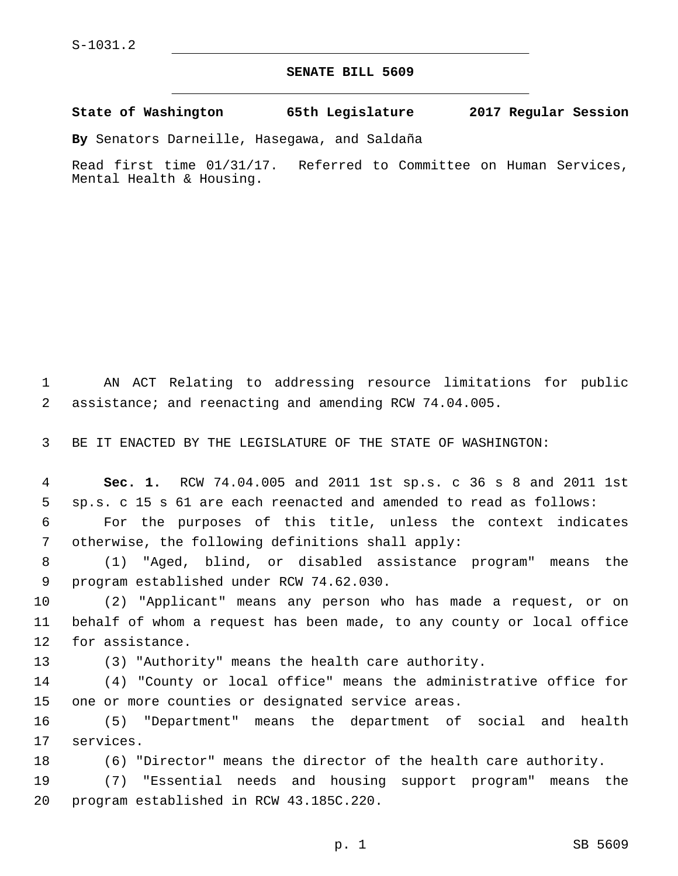## **SENATE BILL 5609**

**State of Washington 65th Legislature 2017 Regular Session**

**By** Senators Darneille, Hasegawa, and Saldaña

Read first time 01/31/17. Referred to Committee on Human Services, Mental Health & Housing.

1 AN ACT Relating to addressing resource limitations for public 2 assistance; and reenacting and amending RCW 74.04.005.

3 BE IT ENACTED BY THE LEGISLATURE OF THE STATE OF WASHINGTON:

 **Sec. 1.** RCW 74.04.005 and 2011 1st sp.s. c 36 s 8 and 2011 1st sp.s. c 15 s 61 are each reenacted and amended to read as follows: For the purposes of this title, unless the context indicates 7 otherwise, the following definitions shall apply:

8 (1) "Aged, blind, or disabled assistance program" means the 9 program established under RCW 74.62.030.

10 (2) "Applicant" means any person who has made a request, or on 11 behalf of whom a request has been made, to any county or local office 12 for assistance.

13 (3) "Authority" means the health care authority.

14 (4) "County or local office" means the administrative office for 15 one or more counties or designated service areas.

16 (5) "Department" means the department of social and health 17 services.

18 (6) "Director" means the director of the health care authority.

19 (7) "Essential needs and housing support program" means the 20 program established in RCW 43.185C.220.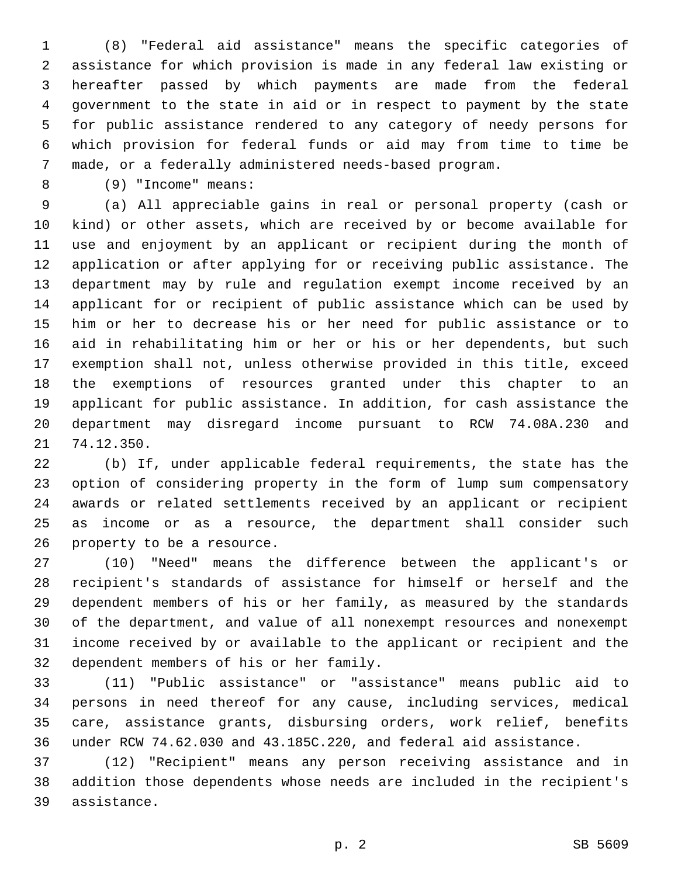(8) "Federal aid assistance" means the specific categories of assistance for which provision is made in any federal law existing or hereafter passed by which payments are made from the federal government to the state in aid or in respect to payment by the state for public assistance rendered to any category of needy persons for which provision for federal funds or aid may from time to time be made, or a federally administered needs-based program.

(9) "Income" means:8

 (a) All appreciable gains in real or personal property (cash or kind) or other assets, which are received by or become available for use and enjoyment by an applicant or recipient during the month of application or after applying for or receiving public assistance. The department may by rule and regulation exempt income received by an applicant for or recipient of public assistance which can be used by him or her to decrease his or her need for public assistance or to aid in rehabilitating him or her or his or her dependents, but such exemption shall not, unless otherwise provided in this title, exceed the exemptions of resources granted under this chapter to an applicant for public assistance. In addition, for cash assistance the department may disregard income pursuant to RCW 74.08A.230 and 21 74.12.350.

 (b) If, under applicable federal requirements, the state has the option of considering property in the form of lump sum compensatory awards or related settlements received by an applicant or recipient as income or as a resource, the department shall consider such 26 property to be a resource.

 (10) "Need" means the difference between the applicant's or recipient's standards of assistance for himself or herself and the dependent members of his or her family, as measured by the standards of the department, and value of all nonexempt resources and nonexempt income received by or available to the applicant or recipient and the 32 dependent members of his or her family.

 (11) "Public assistance" or "assistance" means public aid to persons in need thereof for any cause, including services, medical care, assistance grants, disbursing orders, work relief, benefits under RCW 74.62.030 and 43.185C.220, and federal aid assistance.

 (12) "Recipient" means any person receiving assistance and in addition those dependents whose needs are included in the recipient's 39 assistance.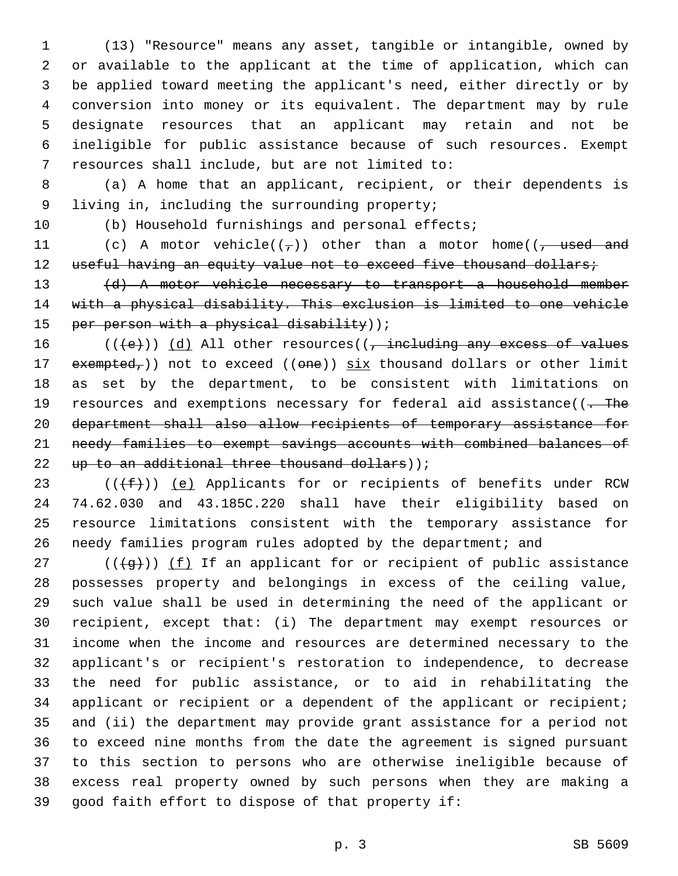(13) "Resource" means any asset, tangible or intangible, owned by or available to the applicant at the time of application, which can be applied toward meeting the applicant's need, either directly or by conversion into money or its equivalent. The department may by rule designate resources that an applicant may retain and not be ineligible for public assistance because of such resources. Exempt 7 resources shall include, but are not limited to:

 (a) A home that an applicant, recipient, or their dependents is 9 living in, including the surrounding property;

(b) Household furnishings and personal effects;

11 (c) A motor vehicle( $(\tau)$ ) other than a motor home( $(\tau$  used and 12 useful having an equity value not to exceed five thousand dollars;

 (d) A motor vehicle necessary to transport a household member with a physical disability. This exclusion is limited to one vehicle 15 per person with a physical disability));

 $((+e))$   $(d)$  All other resources((, including any excess of values 17 exempted,)) not to exceed (( $\Theta$ ne)) six thousand dollars or other limit as set by the department, to be consistent with limitations on 19 resources and exemptions necessary for federal aid assistance((. The department shall also allow recipients of temporary assistance for needy families to exempt savings accounts with combined balances of 22 up to an additional three thousand dollars));

 $((\text{+f-}))(e)$  Applicants for or recipients of benefits under RCW 74.62.030 and 43.185C.220 shall have their eligibility based on resource limitations consistent with the temporary assistance for needy families program rules adopted by the department; and

27 ( $(\frac{4}{9})$ ) (f) If an applicant for or recipient of public assistance possesses property and belongings in excess of the ceiling value, such value shall be used in determining the need of the applicant or recipient, except that: (i) The department may exempt resources or income when the income and resources are determined necessary to the applicant's or recipient's restoration to independence, to decrease the need for public assistance, or to aid in rehabilitating the applicant or recipient or a dependent of the applicant or recipient; and (ii) the department may provide grant assistance for a period not to exceed nine months from the date the agreement is signed pursuant to this section to persons who are otherwise ineligible because of excess real property owned by such persons when they are making a 39 good faith effort to dispose of that property if: